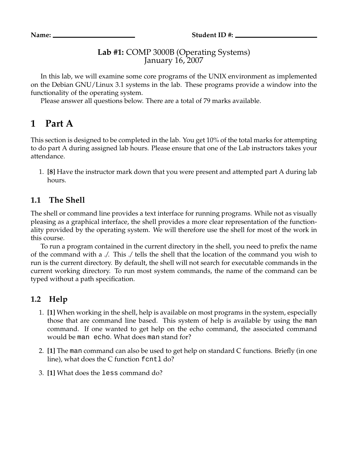#### **Lab #1:** COMP 3000B (Operating Systems) January 16, 2007

In this lab, we will examine some core programs of the UNIX environment as implemented on the Debian GNU/Linux 3.1 systems in the lab. These programs provide a window into the functionality of the operating system.

Please answer all questions below. There are a total of 79 marks available.

# **1 Part A**

This section is designed to be completed in the lab. You get 10% of the total marks for attempting to do part A during assigned lab hours. Please ensure that one of the Lab instructors takes your attendance.

1. **[8]** Have the instructor mark down that you were present and attempted part A during lab hours.

## **1.1 The Shell**

The shell or command line provides a text interface for running programs. While not as visually pleasing as a graphical interface, the shell provides a more clear representation of the functionality provided by the operating system. We will therefore use the shell for most of the work in this course.

To run a program contained in the current directory in the shell, you need to prefix the name of the command with a *./*. This *./* tells the shell that the location of the command you wish to run is the current directory. By default, the shell will not search for executable commands in the current working directory. To run most system commands, the name of the command can be typed without a path specification.

## **1.2 Help**

- 1. **[1]** When working in the shell, help is available on most programs in the system, especially those that are command line based. This system of help is available by using the man command. If one wanted to get help on the echo command, the associated command would be man echo. What does man stand for?
- 2. **[1]** The man command can also be used to get help on standard C functions. Briefly (in one line), what does the C function fcntl do?
- 3. **[1]** What does the less command do?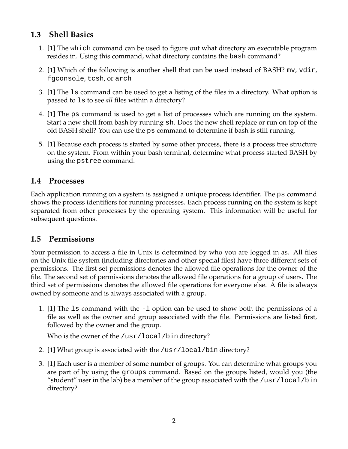## **1.3 Shell Basics**

- 1. **[1]** The which command can be used to figure out what directory an executable program resides in. Using this command, what directory contains the bash command?
- 2. **[1]** Which of the following is another shell that can be used instead of BASH? mv, vdir, fgconsole, tcsh, or arch
- 3. **[1]** The ls command can be used to get a listing of the files in a directory. What option is passed to ls to see *all* files within a directory?
- 4. **[1]** The ps command is used to get a list of processes which are running on the system. Start a new shell from bash by running sh. Does the new shell replace or run on top of the old BASH shell? You can use the ps command to determine if bash is still running.
- 5. **[1]** Because each process is started by some other process, there is a process tree structure on the system. From within your bash terminal, determine what process started BASH by using the pstree command.

## **1.4 Processes**

Each application running on a system is assigned a unique process identifier. The ps command shows the process identifiers for running processes. Each process running on the system is kept separated from other processes by the operating system. This information will be useful for subsequent questions.

## **1.5 Permissions**

Your permission to access a file in Unix is determined by who you are logged in as. All files on the Unix file system (including directories and other special files) have three different sets of permissions. The first set permissions denotes the allowed file operations for the owner of the file. The second set of permissions denotes the allowed file operations for a group of users. The third set of permissions denotes the allowed file operations for everyone else. A file is always owned by someone and is always associated with a group.

1. **[1]** The ls command with the -l option can be used to show both the permissions of a file as well as the owner and group associated with the file. Permissions are listed first, followed by the owner and the group.

Who is the owner of the /usr/local/bin directory?

- 2. **[1]** What group is associated with the /usr/local/bin directory?
- 3. **[1]** Each user is a member of some number of groups. You can determine what groups you are part of by using the groups command. Based on the groups listed, would you (the "student" user in the lab) be a member of the group associated with the  $/usr/local/bin$ directory?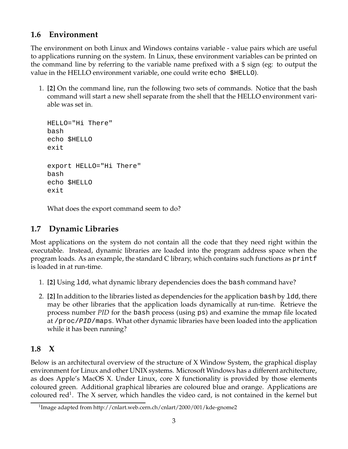### **1.6 Environment**

The environment on both Linux and Windows contains variable - value pairs which are useful to applications running on the system. In Linux, these environment variables can be printed on the command line by referring to the variable name prefixed with a \$ sign (eg: to output the value in the HELLO environment variable, one could write echo \$HELLO).

1. **[2]** On the command line, run the following two sets of commands. Notice that the bash command will start a new shell separate from the shell that the HELLO environment variable was set in.

```
HELLO="Hi There"
bash
echo $HELLO
exit
export HELLO="Hi There"
bash
echo $HELLO
exit
```
What does the export command seem to do?

## **1.7 Dynamic Libraries**

Most applications on the system do not contain all the code that they need right within the executable. Instead, dynamic libraries are loaded into the program address space when the program loads. As an example, the standard C library, which contains such functions as printf is loaded in at run-time.

- 1. **[2]** Using ldd, what dynamic library dependencies does the bash command have?
- 2. **[2]** In addition to the libraries listed as dependencies for the application bash by ldd, there may be other libraries that the application loads dynamically at run-time. Retrieve the process number *PID* for the bash process (using ps) and examine the mmap file located at /proc/PID/maps. What other dynamic libraries have been loaded into the application while it has been running?

## **1.8 X**

Below is an architectural overview of the structure of X Window System, the graphical display environment for Linux and other UNIX systems. Microsoft Windows has a different architecture, as does Apple's MacOS X. Under Linux, core X functionality is provided by those elements coloured green. Additional graphical libraries are coloured blue and orange. Applications are coloured red<sup>1</sup>. The X server, which handles the video card, is not contained in the kernel but

<sup>1</sup> Image adapted from http://cnlart.web.cern.ch/cnlart/2000/001/kde-gnome2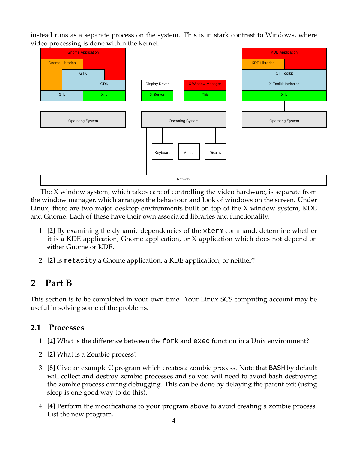instead runs as a separate process on the system. This is in stark contrast to Windows, where video processing is done within the kernel.



The X window system, which takes care of controlling the video hardware, is separate from the window manager, which arranges the behaviour and look of windows on the screen. Under Linux, there are two major desktop environments built on top of the X window system, KDE and Gnome. Each of these have their own associated libraries and functionality.

- 1. **[2]** By examining the dynamic dependencies of the xterm command, determine whether it is a KDE application, Gnome application, or X application which does not depend on either Gnome or KDE.
- 2. **[2]** Is metacity a Gnome application, a KDE application, or neither?

## **2 Part B**

This section is to be completed in your own time. Your Linux SCS computing account may be useful in solving some of the problems.

#### **2.1 Processes**

- 1. **[2]** What is the difference between the fork and exec function in a Unix environment?
- 2. **[2]** What is a Zombie process?
- 3. **[8]** Give an example C program which creates a zombie process. Note that BASH by default will collect and destroy zombie processes and so you will need to avoid bash destroying the zombie process during debugging. This can be done by delaying the parent exit (using sleep is one good way to do this).
- 4. **[4]** Perform the modifications to your program above to avoid creating a zombie process. List the new program.